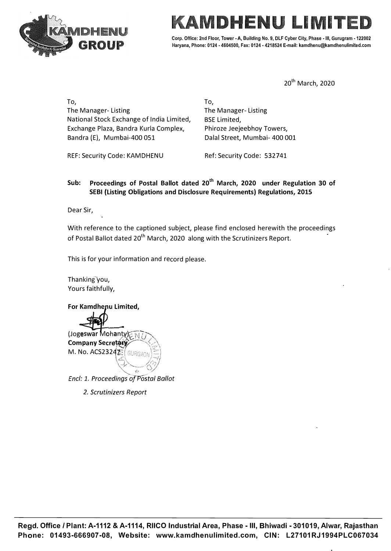

# LI MIT

Corp. Office: 2nd Floor, Tower - A, Building No. 9, DLF Cyber City, Phase - III, Gurugram - 122002 Haryana, Phone: 0124 • 4604500, Fax: 0124 • 4218524 E-mail: kamdhenu@kamdhenulimiled.com

20<sup>th</sup> March, 2020

To, The Manager- Listing National Stock Exchange of India Limited, Exchange Plaza, Bandra Kurla Complex, Bandra (E}, Mumbai-400 051

REF: Security Code: KAMDHENU

The Manager- Listing BSE Limited, Phiroze Jeejeebhoy Towers, Dalal Street, Mumbai- 400 001

Ref: Security Code: 532741

# **Sub: Proceedings of Postal Ballot dated 20th March, 2020 under Regulation 30 of SEBI (Listing Obligations and Disclosure Requirements) Regulations, 2015**

To,

Dear Sir,

With reference to the captioned subject, please find enclosed herewith the proceedings of Postal Ballot dated 20<sup>th</sup> March, 2020 along with the Scrutinizers Report.

This is for your information and record please.

Thanking you, Yours faithfully,

**For Kamdhenu Limited,** 



*Encl: 1. Proceedings of Postal Ballot* 

*2. Scrutinizers Report*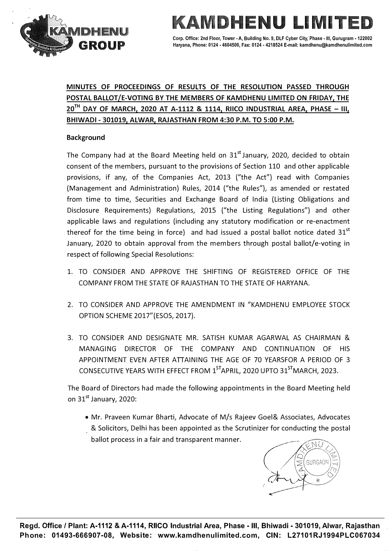

ENU LIMI' Corp. Office: 2nd Floor, Tower - A, Building No. 9, DLF Cyber City, Phase - III, Gurugram - 122002 Haryana, Phone: 0124 • 4604500, Fax: 0124 • 4218524 E-mail: kamdhenu@kamdhenulimited.com

# **MINUTES OF PROCEEDINGS OF RESULTS OF THE RESOLUTION PASSED THROUGH POSTAL BALLOT/E-VOTING BY THE MEMBERS OF KAMDHENU LIMITED ON FRIDAY, THE 20TH DAY OF MARCH, 2020 AT A-1112 & 1114, RIICO INDUSTRIAL AREA, PHASE - Ill, BHIWADI - 301019, ALWAR, RAJASTHAN FROM 4:30 P.M. TO 5:00 P.M.**

### **Background**

The Company had at the Board Meeting held on  $31<sup>st</sup>$  January, 2020, decided to obtain consent of the members, pursuant to the provisions of Section 110 and other applicable provisions, if any, of the Companies Act, 2013 ("the Act") read with Companies (Management and Administration) Rules, 2014 ("the Rules"), as amended or restated from time to time, Securities and Exchange Board of India (Listing Obligations and Disclosure Requirements) Regulations, 2015 ("the Listing Regulations") and other applicable laws and regulations (including any statutory modification or re-enactment thereof for the time being in force) and had issued a postal ballot notice dated  $31<sup>st</sup>$ January, 2020 to obtain approval from the members through postal ballot/e-voting in respect of following Special Resolutions:

- 1. TO CONSIDER AND APPROVE THE SHIFTING OF REGISTERED OFFICE OF THE COMPANY FROM THE STATE OF RAJASTHAN TO THE STATE OF HARYANA.
- 2. TO CONSIDER AND APPROVE THE AMENDMENT IN "KAMDHENU EMPLOYEE STOCK OPTION SCHEME 2017"(ESOS, 2017).
- 3. TO CONSIDER AND DESIGNATE MR. SATISH KUMAR AGARWAL AS CHAIRMAN & MANAGING DIRECTOR OF THE COMPANY AND CONTINUATION OF HIS APPOINTMENT EVEN AFTER ATTAINING THE AGE OF 70 YEARSFOR A PERIOD OF 3 CONSECUTIVE YEARS WITH EFFECT FROM 1<sup>ST</sup>APRIL, 2020 UPTO 31<sup>ST</sup>MARCH, 2023.

The Board of Directors had made the following appointments in the Board Meeting held on  $31<sup>st</sup>$  January, 2020:

• Mr. Praveen Kumar Bharti, Advocate of M/s Rajeev Goel& Associates, Advocates & Solicitors, Delhi has been appointed as the Scrutinizer for conducting the postal ballot process in a fair and transparent manner.

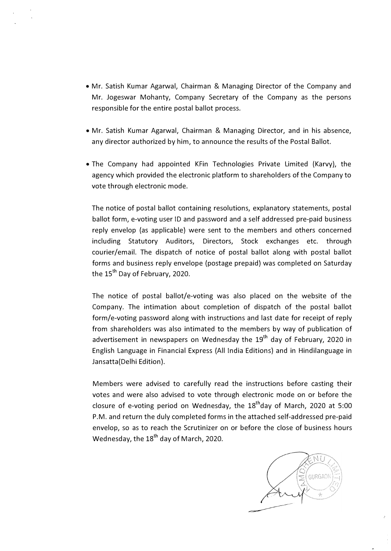- Mr. Satish Kumar Agarwal, Chairman & Managing Director of the Company and Mr. Jogeswar Mohanty, Company Secretary of the Company as the persons responsible for the entire postal ballot process.
- Mr. Satish Kumar Agarwal, Chairman & Managing Director, and in his absence, any director authorized by him, to announce the results of the Postal Ballot.
- The Company had appointed KFin Technologies Private Limited {Karvy}, the agency which provided the electronic platform to shareholders of the Company to vote through electronic mode.

The notice of postal ballot containing resolutions, explanatory statements, postal ballot form, e-voting user ID and password and a self addressed pre-paid business reply envelop (as applicable) were sent to the members and others concerned including Statutory Auditors, Directors, Stock exchanges etc. through courier/email. The dispatch of notice of postal ballot along with postal ballot forms and business reply envelope (postage prepaid) was completed on Saturday the 15<sup>th</sup> Day of February, 2020.

The notice of postal ballot/e-voting was also placed on the website of the Company. The intimation about completion of dispatch of the postal ballot form/e-voting password along with instructions and last date for receipt of reply from shareholders was also intimated to the members by way of publication of advertisement in newspapers on Wednesday the 19<sup>th</sup> day of February, 2020 in English Language in Financial Express (All India Editions) and in Hindilanguage in Jansatta(Delhi Edition).

Members were advised to carefully read the instructions before casting their votes and were also advised to vote through electronic mode on or before the closure of e-voting period on Wednesday, the 18<sup>th</sup>day of March, 2020 at 5:00 P.M. and return the duly completed forms in the attached self-addressed pre-paid envelop, so as to reach the Scrutinizer on or before the close of business hours Wednesday, the  $18<sup>th</sup>$  day of March, 2020.

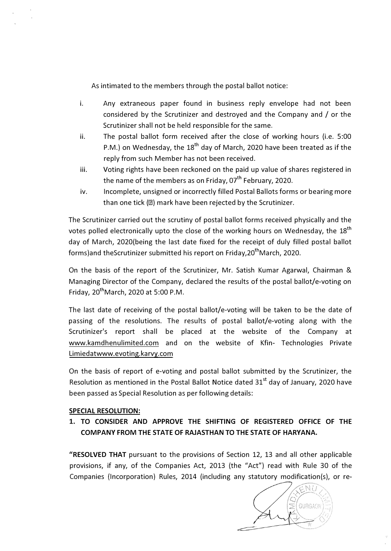As intimated to the members through the postal ballot notice:

- i. Any extraneous paper found in business reply envelope had not been considered by the Scrutinizer and destroyed and the Company and / or the Scrutinizer shall not be held responsible for the same.
- ii. The postal ballot form received after the close of working hours (i.e. 5:00 P.M.) on Wednesday, the  $18<sup>th</sup>$  day of March, 2020 have been treated as if the reply from such Member has not been received.
- iii. Voting rights have been reckoned on the paid up value of shares registered in the name of the members as on Friday,  $07<sup>th</sup>$  February, 2020.
- iv. Incomplete, unsigned or incorrectly filled Postal Ballots forms or bearing more than one tick  $(1)$  mark have been rejected by the Scrutinizer.

The Scrutinizer carried out the scrutiny of postal ballot forms received physically and the votes polled electronically upto the close of the working hours on Wednesday, the 18<sup>th</sup> day of March, 2020(being the last date fixed for the receipt of duly filled postal ballot forms)and theScrutinizer submitted his report on Friday, 20<sup>th</sup>March, 2020.

On the basis of the report of the Scrutinizer, Mr. Satish Kumar Agarwal, Chairman & Managing Director of the Company, declared the results of the postal ballot/e-voting on Friday,  $20^{th}$ March, 2020 at 5:00 P.M.

The last date of receiving of the postal ballot/e-voting will be taken to be the date of passing of the resolutions. The results of postal ballot/e-voting along with the Scrutinizer's report shall be placed at the website of the Company at www.kamdhenulimited.com and on the website of Kfin- Technologies Private Limiedatwww.evoting.karvy.com

On the basis of report of e-voting and postal ballot submitted by the Scrutinizer, the Resolution as mentioned in the Postal Ballot Notice dated 31<sup>st</sup> day of January, 2020 have been passed as Special Resolution as per following details:

### **SPECIAL RESOLUTION:**

**1. TO CONSIDER AND APPROVE THE SHIFTING OF REGISTERED OFFICE OF THE COMPANY FROM THE STATE OF RAJASTHAN TO THE STATE OF HARYANA.**

**"RESOLVED THAT** pursuant to the provisions of Section 12, 13 and all other applicable provisions, if any, of the Companies Act, 2013 (the "Act") read with Rule 30 of the Companies {Incorporation) Rules, 2014 (including any statutory modification(s), or re-

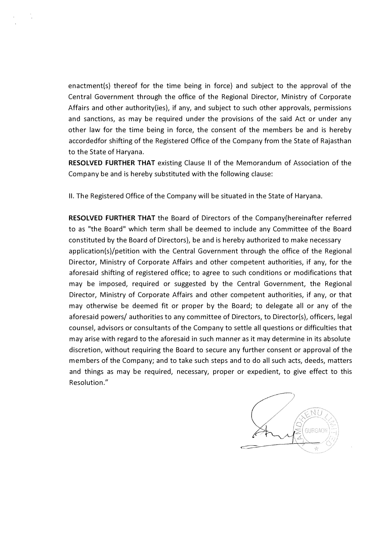enactment(s) thereof for the time being in force) and subject to the approval of the Central Government through the office of the Regional Director, Ministry of Corporate Affairs and other authority(ies), if any, and subject to such other approvals, permissions and sanctions, as may be required under the provisions of the said Act or under any other law for the time being in force, the consent of the members be and is hereby accordedfor shifting of the Registered Office of the Company from the State of Rajasthan to the State of Haryana.

**RESOLVED FURTHER THAT** existing Clause 11 of the Memorandum of Association of the Company be and is hereby substituted with the following clause:

II. The Registered Office of the Company will be situated in the State of Haryana.

**RESOLVED FURTHER THAT** the Board of Directors of the Company(hereinafter referred to as "the Board" which term shall be deemed to include any Committee of the Board constituted by the Board of Directors), be and is hereby authorized to make necessary application(s)/petition with the Central Government through the office of the Regional Director, Ministry of Corporate Affairs and other competent authorities, if any, for the aforesaid shifting of registered office; to agree to such conditions or modifications that may be imposed, required or suggested by the Central Government, the Regional Director, Ministry of Corporate Affairs and other competent authorities, if any, or that may otherwise be deemed fit or proper by the Board; to delegate all or any of the aforesaid powers/ authorities to any committee of Directors, to Director(s), officers, legal counsel, advisors or consultants of the Company to settle all questions or difficulties that may arise with regard to the aforesaid in such manner as it may determine in its absolute discretion, without requiring the Board to secure any further consent or approval of the members of the Company; and to take such steps and to do all such acts, deeds, matters and things as may be required, necessary, proper or expedient, to give effect to this Resolution."

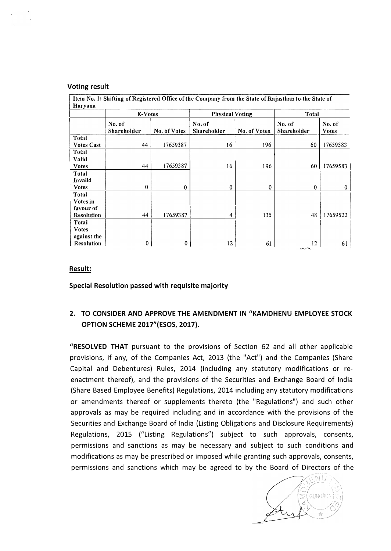#### **Voting result**

| Item No. 1: Shifting of Registered Office of the Company from the State of Rajasthan to the State of<br>Haryana |                       |              |                              |              |                       |                        |  |  |
|-----------------------------------------------------------------------------------------------------------------|-----------------------|--------------|------------------------------|--------------|-----------------------|------------------------|--|--|
|                                                                                                                 | E-Votes               |              | <b>Physical Voting</b>       |              | <b>Total</b>          |                        |  |  |
|                                                                                                                 | No. of<br>Shareholder | No. of Votes | No. of<br><b>Shareholder</b> | No. of Votes | No. of<br>Shareholder | No. of<br><b>Votes</b> |  |  |
| Total<br><b>Votes Cast</b>                                                                                      | 44                    | 17659387     | 16                           | 196          | 60                    | 17659583               |  |  |
| Total<br>Valid                                                                                                  |                       |              |                              |              |                       |                        |  |  |
| <b>Votes</b><br>Total                                                                                           | 44                    | 17659387     | 16                           | 196          | 60                    | 17659583               |  |  |
| Invalid<br><b>Votes</b>                                                                                         | 0                     | $\mathbf{0}$ | $\mathbf{0}$                 | $\mathbf{0}$ | $\Omega$              | $\mathbf{0}$           |  |  |
| Total<br>Votes in                                                                                               |                       |              |                              |              |                       |                        |  |  |
| favour of<br><b>Resolution</b>                                                                                  | 44                    | 17659387     | 4                            | 135          | 48                    | 17659522               |  |  |
| Total<br><b>Votes</b>                                                                                           |                       |              |                              |              |                       |                        |  |  |
| against the<br>Resolution                                                                                       | $\mathbf{0}$          | 0            | $12 \,$                      | 61           | $12 \,$<br>$45 - 79$  | 61                     |  |  |

#### **Result:**

**Special Resolution passed with requisite majority** 

# **2. TO CONSIDER AND APPROVE THE AMENDMENT IN "KAMDHENU EMPLOYEE STOCK OPTION SCHEME 2017"(ESOS, 2017).**

**"RESOLVED THAT** pursuant to the provisions of Section 62 and all other applicable provisions, if any, of the Companies Act, 2013 {the "Act") and the Companies {Share Capital and Debentures) Rules, 2014 {including any statutory modifications or reenactment thereof), and the provisions of the Securities and Exchange Board of India {Share Based Employee Benefits) Regulations, 2014 including any statutory modifications or amendments thereof or supplements thereto {the "Regulations") and such other approvals as may be required including and in accordance with the provisions of the Securities and Exchange Board of India {Listing Obligations and Disclosure Requirements) Regulations, 2015 ("Listing Regulations") subject to such approvals, consents, permissions and sanctions as may be necessary and subject to such conditions and modifications as may be prescribed or imposed while granting such approvals, consents, permissions and sanctions which may be agreed to by the Board of Directors of the

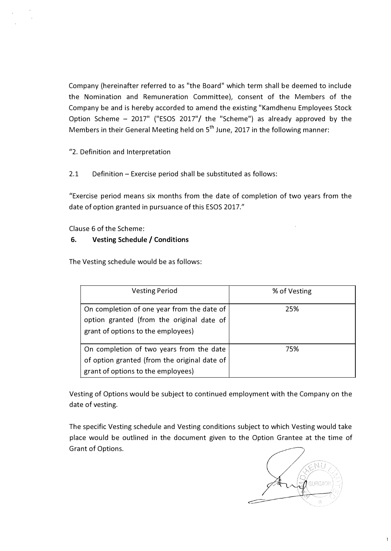Company (hereinafter referred to as "the Board" which term shall be deemed to include the Nomination and Remuneration Committee), consent of the Members of the Company be and is hereby accorded to amend the existing "Kamdhenu Employees Stock Option Scheme - 2017" ("ESOS 2017"/ the "Scheme") as already approved by the Members in their General Meeting held on 5<sup>th</sup> June, 2017 in the following manner:

"2. Definition and Interpretation

2.1 Definition - Exercise period shall be substituted as follows:

"Exercise period means six months from the date of completion of two years from the date of option granted in pursuance of this ESOS 2017."

Clause 6 of the Scheme:

# **6. Vesting Schedule/ Conditions**

The Vesting schedule would be as follows:

| <b>Vesting Period</b>                                                                                                          | % of Vesting |
|--------------------------------------------------------------------------------------------------------------------------------|--------------|
| On completion of one year from the date of<br>option granted (from the original date of<br>grant of options to the employees)  | 25%          |
| On completion of two years from the date<br>of option granted (from the original date of<br>grant of options to the employees) | 75%          |

Vesting of Options would be subject to continued employment with the Company on the date of vesting.

The specific Vesting schedule and Vesting conditions subject to which Vesting would take place would be outlined in the document given to the Option Grantee at the time of Grant of Options.

NI. GURGAON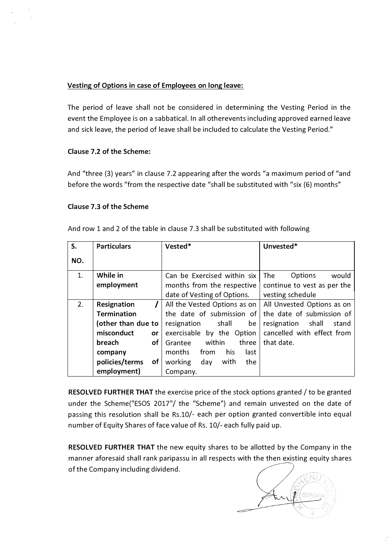# **Vesting of Options in case of Employees on long leave:**

The period of leave shall not be considered in determining the Vesting Period in the event the Employee is on a sabbatical. In all otherevents including approved earned leave and sick leave, the period of leave shall be included to calculate the Vesting Period."

# **Clause 7.2 of the Scheme:**

And "three {3) years" in clause 7.2 appearing after the words "a maximum period of "and before the words "from the respective date "shall be substituted with "six {6) months"

# **Clause 7.3 of the Scheme**

And row 1 and 2 of the table in clause 7.3 shall be substituted with following

| S.  | <b>Particulars</b>   | Vested*                       | Unvested*                     |
|-----|----------------------|-------------------------------|-------------------------------|
| NO. |                      |                               |                               |
| 1.  | While in             | Can be Exercised within six   | The<br>Options<br>would       |
|     | employment           | months from the respective    | continue to vest as per the   |
|     |                      | date of Vesting of Options.   | vesting schedule              |
| 2.  | Resignation          | All the Vested Options as on  | All Unvested Options as on    |
|     | <b>Termination</b>   | the date of submission of     | the date of submission of     |
|     | (other than due to   | resignation shall<br>be       | shall<br>resignation<br>stand |
|     | misconduct<br>or     | exercisable by the Option     | cancelled with effect from    |
|     | breach<br>of         | within<br>three<br>Grantee    | that date.                    |
|     | company              | from<br>his<br>months<br>last |                               |
|     | policies/terms<br>of | working<br>with<br>day<br>the |                               |
|     | employment)          | Company.                      |                               |

**RESOLVED FURTHER THAT** the exercise price of the stock options granted / to be granted under the Scheme{"ESOS 2017"/ the "Scheme") and remain unvested on the date of passing this resolution shall be Rs.10/- each per option granted convertible into equal number of Equity Shares of face value of Rs. 10/- each fully paid up.

**RESOLVED FURTHER THAT** the new equity shares to be allotted by the Company in the manner aforesaid shall rank paripassu in all respects with the then existing equity shares of the Company including dividend.

GURGAO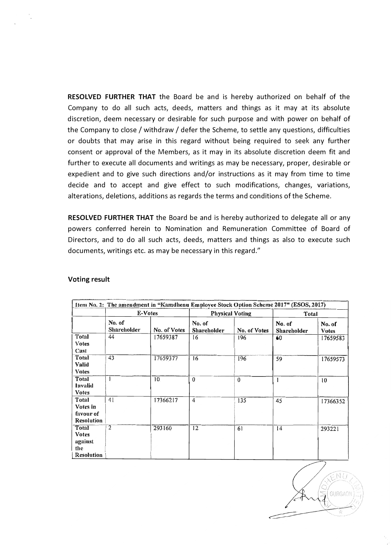**RESOLVED FURTHER THAT** the Board be and is hereby authorized on behalf of the Company to do all such acts, deeds, matters and things as it may at its absolute discretion, deem necessary or desirable for such purpose and with power on behalf of the Company to close/ withdraw/ defer the Scheme, to settle any questions, difficulties or doubts that may arise in this regard without being required to seek any further consent or approval of the Members, as it may in its absolute discretion deem fit and further to execute all documents and writings as may be necessary, proper, desirable or expedient and to give such directions and/or instructions as it may from time to time decide and to accept and give effect to such modifications, changes, variations, alterations, deletions, additions as regards the terms and conditions of the Scheme.

**RESOLVED FURTHER THAT** the Board be and is hereby authorized to delegate all or any powers conferred herein to Nomination and Remuneration Committee of Board of Directors, and to do all such acts, deeds, matters and things as also to execute such documents, writings etc. as may be necessary in this regard."

|                                                              | E-Votes               |              |                              | <b>Physical Voting</b> |                              | Total                  |  |
|--------------------------------------------------------------|-----------------------|--------------|------------------------------|------------------------|------------------------------|------------------------|--|
|                                                              | No. of<br>Shareholder | No. of Votes | No. of<br><b>Shareholder</b> | No. of Votes           | No. of<br><b>Shareholder</b> | No. of<br><b>Votes</b> |  |
| Total<br>Votes<br>Cast                                       | 44                    | 17659387     | 16                           | 196                    | 60                           | 17659583               |  |
| Total<br><b>Valid</b><br><b>V</b> otes                       | 43                    | 17659377     | 16                           | 196                    | 59                           | 17659573               |  |
| Total<br>Invalid<br>Votes                                    | 1                     | 10           | $\mathbf{0}$                 | $\theta$               | 1                            | 10                     |  |
| Total<br>Votes in<br>favour of<br>Resolution                 | 4 <sub>1</sub>        | 17366217     | $\ddot{4}$                   | 135                    | 45                           | 17366352               |  |
| Total<br><b>Votes</b><br>against<br>the<br><b>Resolution</b> | $\overline{2}$        | 293160       | 12                           | 61                     | 14                           | 293221                 |  |

#### **Voting result**

NT. GURGAO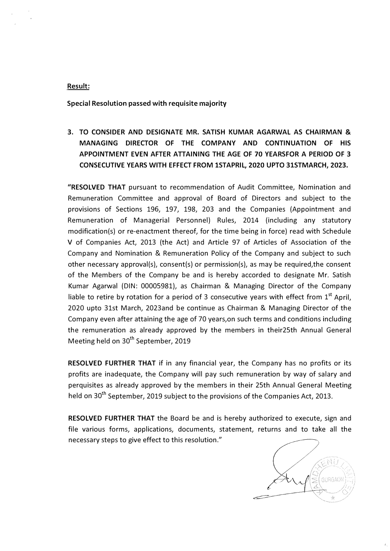#### **Result:**

**Special Resolution passed with requisite majority** 

**3. TO CONSIDER AND DESIGNATE MR. SATISH KUMAR AGARWAL AS CHAIRMAN & MANAGING DIRECTOR OF THE COMPANY AND CONTINUATION OF HIS APPOINTMENT EVEN AFTER ATTAINING THE AGE OF 70 YEARSFOR A PERIOD OF 3 CONSECUTIVE YEARS WITH EFFECT FROM lSTAPRIL, 2020 UPTO 31STMARCH, 2023.**

**"RESOLVED THAT** pursuant to recommendation of Audit Committee, Nomination and Remuneration Committee and approval of Board of Directors and subject to the provisions of Sections 196, 197, 198, 203 and the Companies (Appointment and Remuneration of Managerial Personnel) Rules, 2014 (including any statutory modification(s) or re-enactment thereof, for the time being in force) read with Schedule V of Companies Act, 2013 (the Act) and Article 97 of Articles of Association of the Company and Nomination & Remuneration Policy of the Company and subject to such other necessary approval(s), consent(s) or permission(s), as may be required,the consent of the Members of the Company be and is hereby accorded to designate Mr. Satish Kumar Agarwal (DIN: 00005981), as Chairman & Managing Director of the Company liable to retire by rotation for a period of 3 consecutive years with effect from  $1^\text{st}$  April, 2020 upto 31st March, 2023and be continue as Chairman & Managing Director of the Company even after attaining the age of 70 years,on such terms and conditions including the remuneration as already approved by the members in their25th Annual General Meeting held on 30<sup>th</sup> September, 2019

**RESOLVED FURTHER THAT** if in any financial year, the Company has no profits or its profits are inadequate, the Company will pay such remuneration by way of salary and perquisites as already approved by the members in their 25th Annual General Meeting held on 30<sup>th</sup> September, 2019 subject to the provisions of the Companies Act, 2013.

**RESOLVED FURTHER THAT** the Board be and is hereby authorized to execute, sign and file various forms, applications, documents, statement, returns and to take all the necessary steps to give effect to this resolution."

NU GURGAO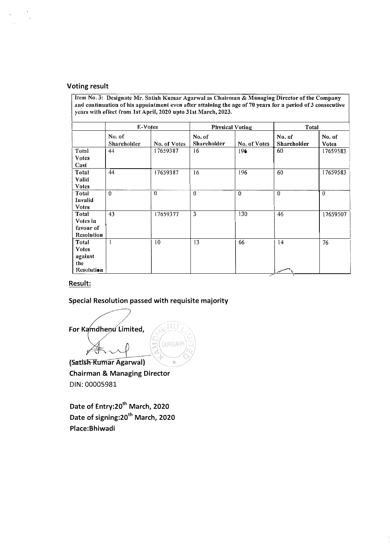#### **Voting result**

**Item No. 3: Designate Mr. Satish Kumar Agarwal as Chairman & Managing Director of the Company** and continuation of his appointment even after attaining the age of 70 years for a period of 3 consecutive years with effect from 1st April, 2020 upto 31st March, 2023.

|                   | E-Votes                      |              | <b>Physical Voting</b> |              | <b>Total</b>                 |                        |
|-------------------|------------------------------|--------------|------------------------|--------------|------------------------------|------------------------|
|                   | No. of<br><b>Shareholder</b> | No. of Votes | No. of<br>Shareholder  | No. of Votes | No. of<br><b>Shareholder</b> | No. of<br><b>Votes</b> |
| Total             | 44                           | 17659387     | 16                     | 196          | 60                           | 17659583               |
| <b>Votes</b>      |                              |              |                        |              |                              |                        |
| Cast              |                              |              |                        |              |                              |                        |
| Total             | 44                           | 17659387     | 16                     | 196          | 60                           | 17659583               |
| Valid             |                              |              |                        |              |                              |                        |
| <b>Votes</b>      |                              |              |                        |              |                              |                        |
| Total             | $\Omega$                     | $\theta$     | $\theta$               | $\bf{0}$     | $\bf{0}$                     | $\theta$               |
| Invalid           |                              |              |                        |              |                              |                        |
| <b>Votes</b>      |                              |              |                        |              |                              |                        |
| Total             | 43                           | 17659377     | $\overline{3}$         | 130          | 46                           | 17659507               |
| Votes in          |                              |              |                        |              |                              |                        |
| favour of         |                              |              |                        |              |                              |                        |
| <b>Resolution</b> |                              |              |                        |              |                              |                        |
| Total             | 1                            | 10           | 13                     | .66          | 14                           | 76                     |
| <b>Votes</b>      |                              |              |                        |              |                              |                        |
| against           |                              |              |                        |              |                              |                        |
| the               |                              |              |                        |              |                              |                        |
| Resolution        |                              |              |                        | ÷            | <b>ALEVATOR</b>              |                        |

# **Result:**

#### **Special Resolution passed with requisite majority**

For Kamdhenu Limited, GURGAON

(Satish Rumar Agarwal) **Chairman & Managing Director**  DIN: 00005981

**Date of Entry:20th March, 2020 Date of signing:20th March, 2020 Place:Bhiwadi**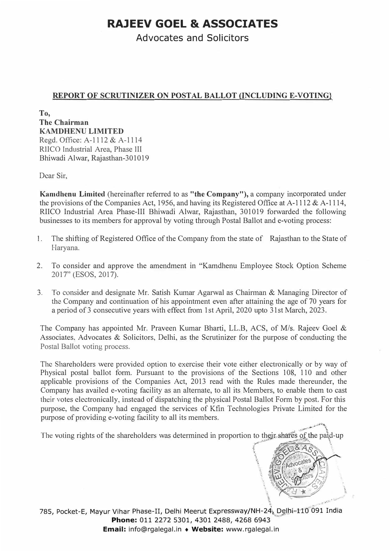# **RAJEEV GOEL** & **ASSOCIATES**

Advocates and Solicitors

# **REPORT OF SCRUTINIZER ON POSTAL BALLOT (INCLUDING E-VOTING}**

**To, The Chairman KAMDHENU LIMITED**  Regd. Office: A-1112 & A-1114 RIICO Industrial Area, Phase III Bhiwadi Alwar, Rajasthan-301019

Dear Sir,

**Kamdhenu Limited** (hereinafter referred to as **"the Company"),** a company incorporated under the provisions of the Companies Act, 1956, and having its Registered Office at A-1112 & A-1114, RIICO Industrial Area Phase-III Bhiwadi Alwar, Rajasthan, 301019 forwarded the following businesses to its members for approval by voting through Postal Ballot and e-voting process:

- 1. The shifting of Registered Office of the Company from the state of Rajasthan to the State of Haryana.
- 2. To consider and approve the amendment in "Kamdhenu Employee Stock Option Scheme 2017" (ESOS, 2017).
- 3. To consider and designate Mr. Satish Kumar Agarwal as Chairman & Managing Director of the Company and continuation of his appointment even after attaining the age of 70 years for a period of 3 consecutive years with effect from 1st April, 2020 upto 31st March, 2023.

The Company has appointed Mr. Praveen Kumar Bharti, LLB, ACS, of *Mis.* Rajeev Goel & Associates. Advocates & Solicitors, Delhi, as the Scrutinizer for the purpose of conducting the Postal Ballot voting process.

The Shareholders were provided option to exercise their vote either electronically or by way of Physical postal ballot form. Pursuant to the provisions of the Sections 108, 110 and other applicable provisions of the Companies Act, 2013 read with the Rules made thereunder, the Company has availed e-voting facility as an alternate, to all its Members, to enable them to cast their votes electronically, instead of dispatching the physical Postal Ballot Form by post. For this purpose, the Company had engaged the services of Kfin Technologies Private Limited for the purpose of providing e-voting facility to all its members.

The voting rights of the shareholders was determined in proportion to their, shares of the paid-up .. � ...... �'-"' '-)��.,,,..-� -� .. \ *{ lf�\:.t�'As& .* 

**I** Advocates **If**  $\frac{1}{2}$  $\mathcal{L} = \mathcal{L} \cup \left\{ \frac{1}{2} \right\}$  $\mathbb{Z} \times \mathbb{Z}$  $\forall x \forall x$ 

n

//

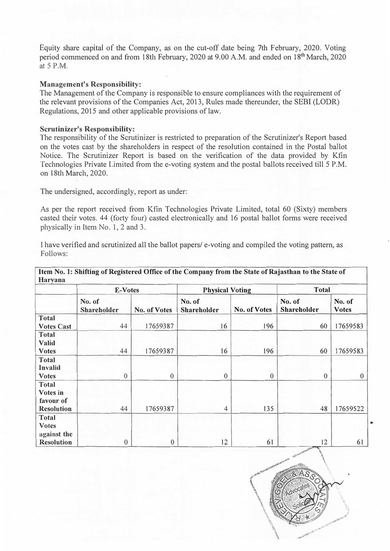Equity share capital of the Company, as on the cut-off date being 7th February, 2020. Voting period commenced on and from 18th February, 2020 at 9.00 A.M. and ended on 18<sup>th</sup> March, 2020 at 5 P.M.

#### **Management's Responsibility:**

The Management of the Company is responsible to ensure compliances with the requirement of the relevant provisions of the Companies Act, 2013, Rules made thereunder, the SEBI (LODR) Regulations, 2015 and other applicable provisions of law.

#### **Scrutinizer's Responsibility:**

The responsibility of the Scrutinizer is restricted to preparation of the Scrutinizer's Report based on the votes cast by the shareholders in respect of the resolution contained in the Postal ballot Notice. The Scrutinizer Report is based on the verification of the data provided by Kfin Technologies Private Limited from the e-voting system and the postal ballots received till 5 P.M. on 18th March, 2020.

The undersigned, accordingly, report as under:

As per the report received from Kfin Technologies Private Limited, total 60 (Sixty) members casted their votes. 44 (forty four) casted electronically and 16 postal ballot forms were received physically in Item No. 1, 2 and 3.

I have verified and scrutinized all the ballot papers/ e-voting and compiled the voting pattern, as Follows:

|                   | E-Votes               |                  | <b>Physical Voting</b> |                | <b>Total</b>          |                        |
|-------------------|-----------------------|------------------|------------------------|----------------|-----------------------|------------------------|
|                   | No. of<br>Shareholder | No. of Votes     | No. of<br>Shareholder  | No. of Votes   | No. of<br>Shareholder | No. of<br><b>Votes</b> |
| <b>Total</b>      |                       |                  |                        |                |                       |                        |
| <b>Votes Cast</b> | 44                    | 17659387         | 16                     | 196            | 60                    | 17659583               |
| <b>Total</b>      |                       |                  |                        |                |                       |                        |
| <b>Valid</b>      |                       |                  |                        |                |                       |                        |
| <b>Votes</b>      | 44                    | 17659387         | 16                     | 196            | 60                    | 17659583               |
| <b>Total</b>      |                       |                  |                        |                |                       |                        |
| Invalid           |                       |                  |                        |                |                       |                        |
| <b>Votes</b>      | $\overline{0}$        | $\boldsymbol{0}$ | $\overline{0}$         | $\overline{0}$ | $\mathbf{0}$          | $\theta$               |
| <b>Total</b>      |                       |                  |                        |                |                       |                        |
| Votes in          |                       |                  |                        |                |                       |                        |
| favour of         |                       |                  |                        |                |                       |                        |
| <b>Resolution</b> | 44                    | 17659387         | $\overline{4}$         | 135            | 48                    | 17659522               |
| <b>Total</b>      |                       |                  |                        |                |                       |                        |
| <b>Votes</b>      |                       |                  |                        |                |                       |                        |
| against the       |                       |                  |                        |                |                       |                        |
| <b>Resolution</b> | $\boldsymbol{0}$      | $\boldsymbol{0}$ | 12                     | 61             | 12                    | 61                     |

**Item No. 1: Shifting of Registered Office of the Company f <sup>r</sup>om the State of Rajasthan to the State of Harvana** 

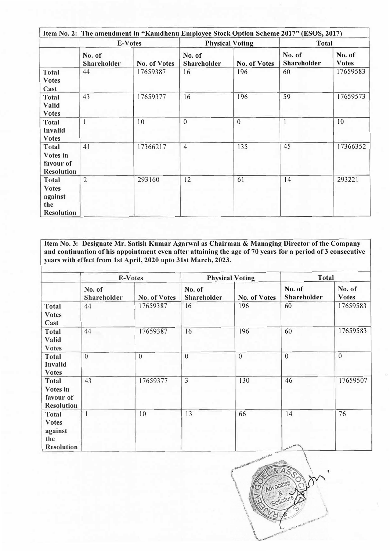|                                                                     |                              |              | Item No. 2: The amendment in "Kamdhenu Employee Stock Option Scheme 2017" (ESOS, 2017) |                        |                              |                        |  |  |
|---------------------------------------------------------------------|------------------------------|--------------|----------------------------------------------------------------------------------------|------------------------|------------------------------|------------------------|--|--|
|                                                                     | E-Votes                      |              |                                                                                        | <b>Physical Voting</b> |                              | <b>Total</b>           |  |  |
|                                                                     | No. of<br><b>Shareholder</b> | No. of Votes | No. of<br><b>Shareholder</b>                                                           | No. of Votes           | No. of<br><b>Shareholder</b> | No. of<br><b>Votes</b> |  |  |
| <b>Total</b><br><b>Votes</b><br>Cast                                | 44                           | 17659387     | 16                                                                                     | 196                    | 60                           | 17659583               |  |  |
| <b>Total</b><br><b>Valid</b><br><b>Votes</b>                        | 43                           | 17659377     | 16                                                                                     | 196                    | 59                           | 17659573               |  |  |
| <b>Total</b><br><b>Invalid</b><br><b>Votes</b>                      |                              | 10           | $\overline{0}$                                                                         | $\overline{0}$         |                              | 10                     |  |  |
| <b>Total</b><br>Votes in<br>favour of<br><b>Resolution</b>          | 41                           | 17366217     | $\overline{4}$                                                                         | 135                    | 45                           | 17366352               |  |  |
| <b>Total</b><br><b>Votes</b><br>against<br>the<br><b>Resolution</b> | $\overline{2}$               | 293160       | 12                                                                                     | 61                     | 14                           | 293221                 |  |  |

**Item No. 3: Designate Mr. Satish Kumar Agarwal as Chairman & Managing Director of the Company and continuation of his appointment even after attaining the age of 70 years for a period of 3 consecutive years with effect from 1st April, 2020 upto 31st March, 2023.** 

|                                                                     |                       | E-Votes      |                       | <b>Physical Voting</b> | <b>Total</b>                 |                        |
|---------------------------------------------------------------------|-----------------------|--------------|-----------------------|------------------------|------------------------------|------------------------|
|                                                                     | No. of<br>Shareholder | No. of Votes | No. of<br>Shareholder | No. of Votes           | No. of<br>Shareholder        | No. of<br><b>Votes</b> |
| <b>Total</b><br><b>Votes</b><br>Cast                                | 44                    | 17659387     | 16                    | 196                    | 60                           | 17659583               |
| <b>Total</b><br>Valid<br><b>Votes</b>                               | 44                    | 17659387     | 16                    | 196                    | 60                           | 17659583               |
| <b>Total</b><br><b>Invalid</b><br><b>Votes</b>                      | $\mathbf{0}$          | $\mathbf{0}$ | $\overline{0}$        | $\boldsymbol{0}$       | $\mathbf{0}$                 | $\overline{0}$         |
| <b>Total</b><br>Votes in<br>favour of<br><b>Resolution</b>          | 43                    | 17659377     | $\overline{3}$        | 130                    | 46                           | 17659507               |
| <b>Total</b><br><b>Votes</b><br>against<br>the<br><b>Resolution</b> | $\mathbf{I}$          | 10           | 13                    | 66                     | 14<br>W.S.L. Ja K. Mai di ku | 76                     |

![](_page_13_Picture_3.jpeg)